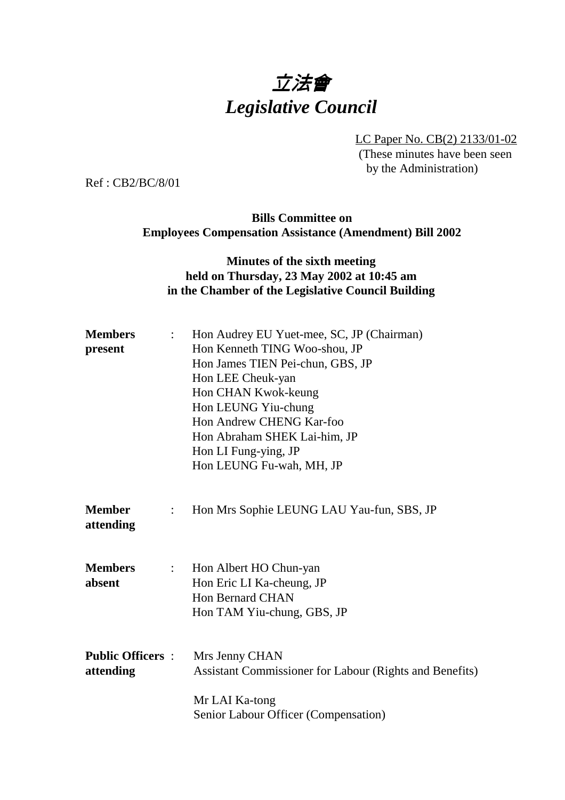# 立法會 *Legislative Council*

LC Paper No. CB(2) 2133/01-02

(These minutes have been seen by the Administration)

Ref : CB2/BC/8/01

## **Bills Committee on Employees Compensation Assistance (Amendment) Bill 2002**

## **Minutes of the sixth meeting held on Thursday, 23 May 2002 at 10:45 am in the Chamber of the Legislative Council Building**

| <b>Members</b><br>present            | $\mathbb{R}^{\mathbb{Z}}$ | Hon Audrey EU Yuet-mee, SC, JP (Chairman)<br>Hon Kenneth TING Woo-shou, JP<br>Hon James TIEN Pei-chun, GBS, JP<br>Hon LEE Cheuk-yan<br>Hon CHAN Kwok-keung<br>Hon LEUNG Yiu-chung<br>Hon Andrew CHENG Kar-foo<br>Hon Abraham SHEK Lai-him, JP<br>Hon LI Fung-ying, JP<br>Hon LEUNG Fu-wah, MH, JP |
|--------------------------------------|---------------------------|---------------------------------------------------------------------------------------------------------------------------------------------------------------------------------------------------------------------------------------------------------------------------------------------------|
| <b>Member</b><br>attending           | $\ddot{\cdot}$            | Hon Mrs Sophie LEUNG LAU Yau-fun, SBS, JP                                                                                                                                                                                                                                                         |
| <b>Members</b><br>absent             | $\mathbb{R}^{\mathbb{Z}}$ | Hon Albert HO Chun-yan<br>Hon Eric LI Ka-cheung, JP<br><b>Hon Bernard CHAN</b><br>Hon TAM Yiu-chung, GBS, JP                                                                                                                                                                                      |
| <b>Public Officers:</b><br>attending |                           | Mrs Jenny CHAN<br>Assistant Commissioner for Labour (Rights and Benefits)<br>Mr LAI Ka-tong<br>Senior Labour Officer (Compensation)                                                                                                                                                               |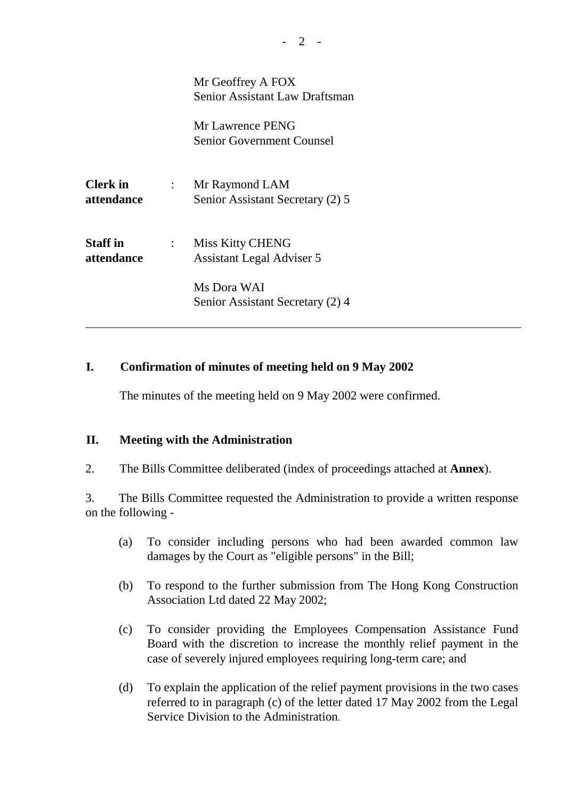Mr Geoffrey A FOX Senior Assistant Law Draftsman

Mr Lawrence PENG Senior Government Counsel

**Clerk in** : Mr Raymond LAM **attendance** Senior Assistant Secretary (2) 5

**Staff in** : Miss Kitty CHENG **attendance** Assistant Legal Adviser 5

> Ms Dora WAI Senior Assistant Secretary (2) 4

### **I. Confirmation of minutes of meeting held on 9 May 2002**

The minutes of the meeting held on 9 May 2002 were confirmed.

#### **II. Meeting with the Administration**

 $\overline{a}$ 

2. The Bills Committee deliberated (index of proceedings attached at **Annex**).

3. The Bills Committee requested the Administration to provide a written response on the following -

- (a) To consider including persons who had been awarded common law damages by the Court as "eligible persons" in the Bill;
- (b) To respond to the further submission from The Hong Kong Construction Association Ltd dated 22 May 2002;
- (c) To consider providing the Employees Compensation Assistance Fund Board with the discretion to increase the monthly relief payment in the case of severely injured employees requiring long-term care; and
- (d) To explain the application of the relief payment provisions in the two cases referred to in paragraph (c) of the letter dated 17 May 2002 from the Legal Service Division to the Administration.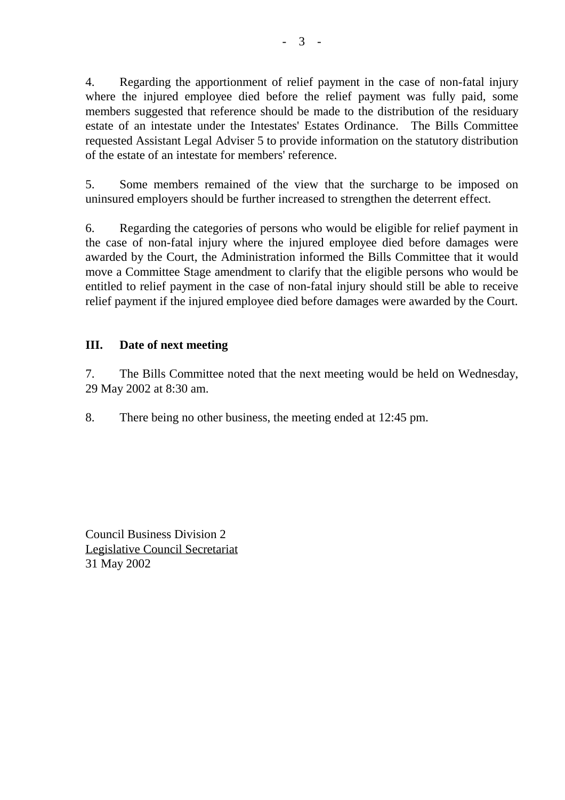4. Regarding the apportionment of relief payment in the case of non-fatal injury where the injured employee died before the relief payment was fully paid, some members suggested that reference should be made to the distribution of the residuary estate of an intestate under the Intestates' Estates Ordinance. The Bills Committee requested Assistant Legal Adviser 5 to provide information on the statutory distribution of the estate of an intestate for members' reference.

5. Some members remained of the view that the surcharge to be imposed on uninsured employers should be further increased to strengthen the deterrent effect.

6. Regarding the categories of persons who would be eligible for relief payment in the case of non-fatal injury where the injured employee died before damages were awarded by the Court, the Administration informed the Bills Committee that it would move a Committee Stage amendment to clarify that the eligible persons who would be entitled to relief payment in the case of non-fatal injury should still be able to receive relief payment if the injured employee died before damages were awarded by the Court.

## **III. Date of next meeting**

7. The Bills Committee noted that the next meeting would be held on Wednesday, 29 May 2002 at 8:30 am.

8. There being no other business, the meeting ended at 12:45 pm.

Council Business Division 2 Legislative Council Secretariat 31 May 2002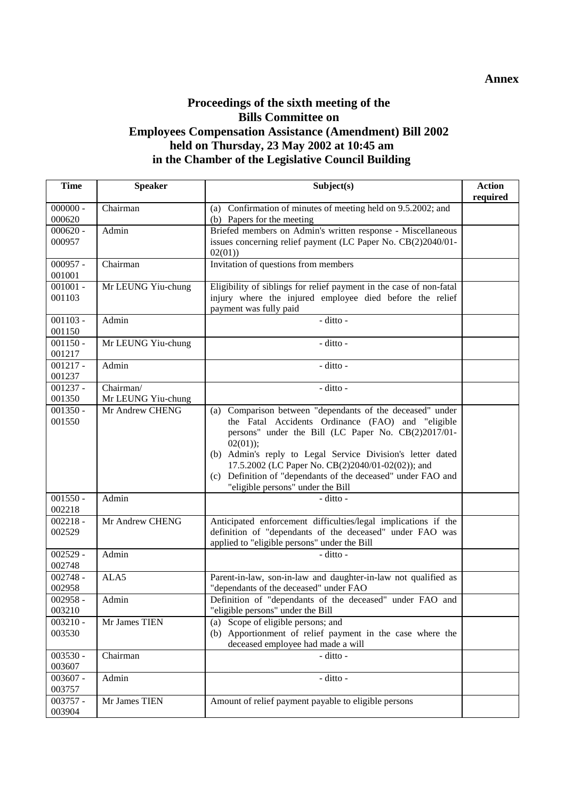## **Proceedings of the sixth meeting of the Bills Committee on Employees Compensation Assistance (Amendment) Bill 2002 held on Thursday, 23 May 2002 at 10:45 am in the Chamber of the Legislative Council Building**

| <b>Time</b>          | <b>Speaker</b>                  | Subject(s)                                                                                                                                                                                                                                                                                                                                                                                                     | <b>Action</b><br>required |
|----------------------|---------------------------------|----------------------------------------------------------------------------------------------------------------------------------------------------------------------------------------------------------------------------------------------------------------------------------------------------------------------------------------------------------------------------------------------------------------|---------------------------|
| $000000 -$<br>000620 | Chairman                        | (a) Confirmation of minutes of meeting held on 9.5.2002; and<br>(b) Papers for the meeting                                                                                                                                                                                                                                                                                                                     |                           |
| $000620 -$<br>000957 | Admin                           | Briefed members on Admin's written response - Miscellaneous<br>issues concerning relief payment (LC Paper No. CB(2)2040/01-<br>02(01)                                                                                                                                                                                                                                                                          |                           |
| $000957 -$<br>001001 | Chairman                        | Invitation of questions from members                                                                                                                                                                                                                                                                                                                                                                           |                           |
| $001001 -$<br>001103 | Mr LEUNG Yiu-chung              | Eligibility of siblings for relief payment in the case of non-fatal<br>injury where the injured employee died before the relief<br>payment was fully paid                                                                                                                                                                                                                                                      |                           |
| $001103 -$<br>001150 | Admin                           | - ditto -                                                                                                                                                                                                                                                                                                                                                                                                      |                           |
| $001150 -$<br>001217 | Mr LEUNG Yiu-chung              | - ditto -                                                                                                                                                                                                                                                                                                                                                                                                      |                           |
| $001217 -$<br>001237 | Admin                           | - ditto -                                                                                                                                                                                                                                                                                                                                                                                                      |                           |
| $001237 -$<br>001350 | Chairman/<br>Mr LEUNG Yiu-chung | - ditto -                                                                                                                                                                                                                                                                                                                                                                                                      |                           |
| $001350 -$<br>001550 | Mr Andrew CHENG                 | Comparison between "dependants of the deceased" under<br>(a)<br>the Fatal Accidents Ordinance (FAO) and "eligible<br>persons" under the Bill (LC Paper No. CB(2)2017/01-<br>$02(01)$ ;<br>(b) Admin's reply to Legal Service Division's letter dated<br>17.5.2002 (LC Paper No. CB(2)2040/01-02(02)); and<br>(c) Definition of "dependants of the deceased" under FAO and<br>"eligible persons" under the Bill |                           |
| $001550 -$<br>002218 | Admin                           | - ditto -                                                                                                                                                                                                                                                                                                                                                                                                      |                           |
| $002218 -$<br>002529 | Mr Andrew CHENG                 | Anticipated enforcement difficulties/legal implications if the<br>definition of "dependants of the deceased" under FAO was<br>applied to "eligible persons" under the Bill                                                                                                                                                                                                                                     |                           |
| $002529 -$<br>002748 | Admin                           | - ditto -                                                                                                                                                                                                                                                                                                                                                                                                      |                           |
| $002748 -$<br>002958 | ALA5                            | Parent-in-law, son-in-law and daughter-in-law not qualified as<br>"dependants of the deceased" under FAO                                                                                                                                                                                                                                                                                                       |                           |
| $002958 -$<br>003210 | Admin                           | Definition of "dependants of the deceased" under FAO and<br>eligible persons" under the Bill                                                                                                                                                                                                                                                                                                                   |                           |
| $003210 -$<br>003530 | Mr James TIEN                   | Scope of eligible persons; and<br>(a)<br>(b) Apportionment of relief payment in the case where the<br>deceased employee had made a will                                                                                                                                                                                                                                                                        |                           |
| $003530 -$<br>003607 | Chairman                        | $-$ ditto $-$                                                                                                                                                                                                                                                                                                                                                                                                  |                           |
| $003607 -$<br>003757 | Admin                           | - ditto -                                                                                                                                                                                                                                                                                                                                                                                                      |                           |
| $003757 -$<br>003904 | Mr James TIEN                   | Amount of relief payment payable to eligible persons                                                                                                                                                                                                                                                                                                                                                           |                           |

#### **Annex**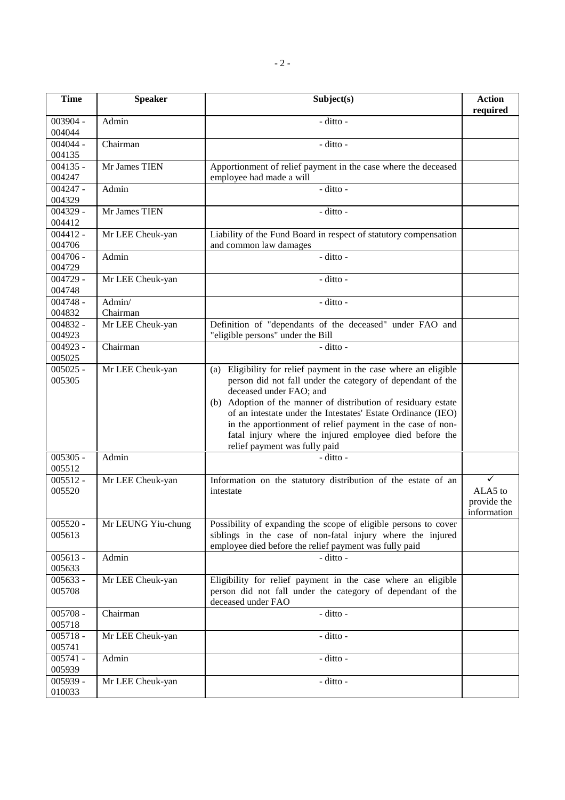| <b>Time</b>          | <b>Speaker</b>     | Subject(s)                                                                                                                                                                                                                                                                                                                                                                                                                                               | <b>Action</b><br>required                  |
|----------------------|--------------------|----------------------------------------------------------------------------------------------------------------------------------------------------------------------------------------------------------------------------------------------------------------------------------------------------------------------------------------------------------------------------------------------------------------------------------------------------------|--------------------------------------------|
| 003904 -<br>004044   | Admin              | - ditto -                                                                                                                                                                                                                                                                                                                                                                                                                                                |                                            |
| $004044 -$<br>004135 | Chairman           | - ditto -                                                                                                                                                                                                                                                                                                                                                                                                                                                |                                            |
| $004135 -$<br>004247 | Mr James TIEN      | Apportionment of relief payment in the case where the deceased<br>employee had made a will                                                                                                                                                                                                                                                                                                                                                               |                                            |
| $004247 -$<br>004329 | Admin              | - ditto -                                                                                                                                                                                                                                                                                                                                                                                                                                                |                                            |
| $004329 -$<br>004412 | Mr James TIEN      | - ditto -                                                                                                                                                                                                                                                                                                                                                                                                                                                |                                            |
| $004412 -$<br>004706 | Mr LEE Cheuk-yan   | Liability of the Fund Board in respect of statutory compensation<br>and common law damages                                                                                                                                                                                                                                                                                                                                                               |                                            |
| $004706 -$<br>004729 | Admin              | $\overline{-\mathrm{d}t}$ tto -                                                                                                                                                                                                                                                                                                                                                                                                                          |                                            |
| $004729 -$<br>004748 | Mr LEE Cheuk-yan   | - ditto -                                                                                                                                                                                                                                                                                                                                                                                                                                                |                                            |
| $004748 -$<br>004832 | Admin/<br>Chairman | - ditto -                                                                                                                                                                                                                                                                                                                                                                                                                                                |                                            |
| $004832 -$<br>004923 | Mr LEE Cheuk-yan   | Definition of "dependants of the deceased" under FAO and<br>"eligible persons" under the Bill                                                                                                                                                                                                                                                                                                                                                            |                                            |
| $004923 -$<br>005025 | Chairman           | $-$ ditto $-$                                                                                                                                                                                                                                                                                                                                                                                                                                            |                                            |
| $005025 -$<br>005305 | Mr LEE Cheuk-yan   | Eligibility for relief payment in the case where an eligible<br>(a)<br>person did not fall under the category of dependant of the<br>deceased under FAO; and<br>(b) Adoption of the manner of distribution of residuary estate<br>of an intestate under the Intestates' Estate Ordinance (IEO)<br>in the apportionment of relief payment in the case of non-<br>fatal injury where the injured employee died before the<br>relief payment was fully paid |                                            |
| $005305 -$<br>005512 | Admin              | - ditto -                                                                                                                                                                                                                                                                                                                                                                                                                                                |                                            |
| $005512 -$<br>005520 | Mr LEE Cheuk-yan   | Information on the statutory distribution of the estate of an<br>intestate                                                                                                                                                                                                                                                                                                                                                                               | ✓<br>ALA5 to<br>provide the<br>information |
| $005520 -$<br>005613 | Mr LEUNG Yiu-chung | Possibility of expanding the scope of eligible persons to cover<br>siblings in the case of non-fatal injury where the injured<br>employee died before the relief payment was fully paid                                                                                                                                                                                                                                                                  |                                            |
| $005613 -$<br>005633 | Admin              | - ditto -                                                                                                                                                                                                                                                                                                                                                                                                                                                |                                            |
| $005633 -$<br>005708 | Mr LEE Cheuk-yan   | Eligibility for relief payment in the case where an eligible<br>person did not fall under the category of dependant of the<br>deceased under FAO                                                                                                                                                                                                                                                                                                         |                                            |
| $005708 -$<br>005718 | Chairman           | - ditto -                                                                                                                                                                                                                                                                                                                                                                                                                                                |                                            |
| $005718 -$<br>005741 | Mr LEE Cheuk-yan   | - ditto -                                                                                                                                                                                                                                                                                                                                                                                                                                                |                                            |
| $005741 -$<br>005939 | Admin              | - ditto -                                                                                                                                                                                                                                                                                                                                                                                                                                                |                                            |
| $005939 -$<br>010033 | Mr LEE Cheuk-yan   | - ditto -                                                                                                                                                                                                                                                                                                                                                                                                                                                |                                            |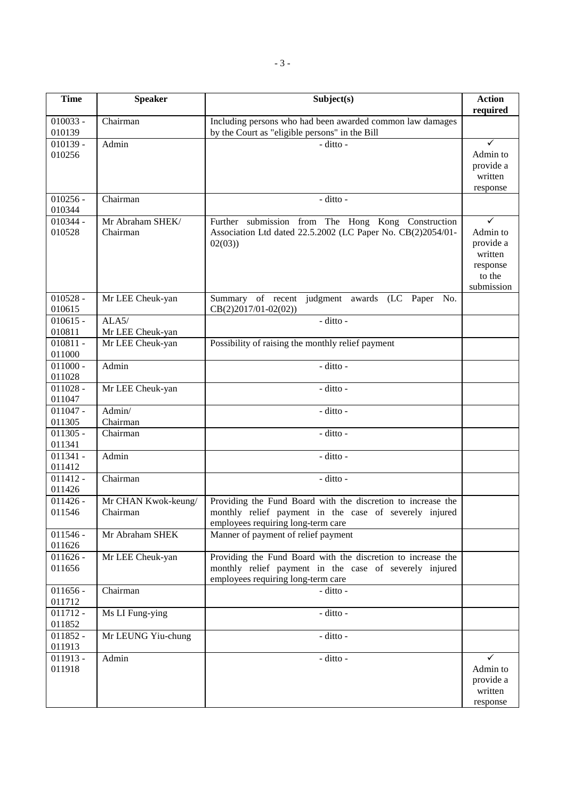| <b>Time</b>          | <b>Speaker</b>                  | Subject(s)                                                                                                             | <b>Action</b><br>required |
|----------------------|---------------------------------|------------------------------------------------------------------------------------------------------------------------|---------------------------|
| $010033 -$           | Chairman                        | Including persons who had been awarded common law damages                                                              |                           |
| 010139               |                                 | by the Court as "eligible persons" in the Bill                                                                         |                           |
| $010139 -$           | Admin                           | - ditto -                                                                                                              | $\checkmark$              |
| 010256               |                                 |                                                                                                                        | Admin to                  |
|                      |                                 |                                                                                                                        | provide a                 |
|                      |                                 |                                                                                                                        | written                   |
| $010256 -$           | Chairman                        | - ditto -                                                                                                              | response                  |
| 010344               |                                 |                                                                                                                        |                           |
| $010344 -$           | Mr Abraham SHEK/                | Further submission from The Hong Kong Construction                                                                     | ✓                         |
| 010528               | Chairman                        | Association Ltd dated 22.5.2002 (LC Paper No. CB(2)2054/01-                                                            | Admin to                  |
|                      |                                 | 02(03)                                                                                                                 | provide a                 |
|                      |                                 |                                                                                                                        | written                   |
|                      |                                 |                                                                                                                        | response                  |
|                      |                                 |                                                                                                                        | to the                    |
|                      |                                 |                                                                                                                        | submission                |
| $010528 -$<br>010615 | Mr LEE Cheuk-yan                | judgment awards (LC Paper No.<br>Summary of recent                                                                     |                           |
| $010615 -$           | ALA5/                           | $CB(2)2017/01-02(02))$<br>- ditto -                                                                                    |                           |
| 010811               | Mr LEE Cheuk-yan                |                                                                                                                        |                           |
| $010811 -$           | Mr LEE Cheuk-yan                | Possibility of raising the monthly relief payment                                                                      |                           |
| 011000               |                                 |                                                                                                                        |                           |
| $011000 -$           | Admin                           | - ditto -                                                                                                              |                           |
| 011028               |                                 |                                                                                                                        |                           |
| $011028 -$           | Mr LEE Cheuk-yan                | - ditto -                                                                                                              |                           |
| 011047               |                                 |                                                                                                                        |                           |
| $011047 -$<br>011305 | Admin/<br>Chairman              | - ditto -                                                                                                              |                           |
| $011305 -$           | Chairman                        | - ditto -                                                                                                              |                           |
| 011341               |                                 |                                                                                                                        |                           |
| $011341 -$           | Admin                           | - ditto -                                                                                                              |                           |
| 011412               |                                 |                                                                                                                        |                           |
| $011412 -$           | Chairman                        | - ditto -                                                                                                              |                           |
| 011426               |                                 |                                                                                                                        |                           |
| $011426 -$<br>011546 | Mr CHAN Kwok-keung/<br>Chairman | Providing the Fund Board with the discretion to increase the<br>monthly relief payment in the case of severely injured |                           |
|                      |                                 | employees requiring long-term care                                                                                     |                           |
| $011546 -$           | Mr Abraham SHEK                 | Manner of payment of relief payment                                                                                    |                           |
| 011626               |                                 |                                                                                                                        |                           |
| $011626 -$           | Mr LEE Cheuk-yan                | Providing the Fund Board with the discretion to increase the                                                           |                           |
| 011656               |                                 | monthly relief payment in the case of severely injured                                                                 |                           |
|                      |                                 | employees requiring long-term care                                                                                     |                           |
| $011656 -$<br>011712 | Chairman                        | - ditto -                                                                                                              |                           |
| $011712 -$           | Ms LI Fung-ying                 | - ditto -                                                                                                              |                           |
| 011852               |                                 |                                                                                                                        |                           |
| $011852 -$           | Mr LEUNG Yiu-chung              | - ditto -                                                                                                              |                           |
| 011913               |                                 |                                                                                                                        |                           |
| $011913 -$           | Admin                           | - ditto -                                                                                                              | ✓                         |
| 011918               |                                 |                                                                                                                        | Admin to                  |
|                      |                                 |                                                                                                                        | provide a                 |
|                      |                                 |                                                                                                                        | written                   |
|                      |                                 |                                                                                                                        | response                  |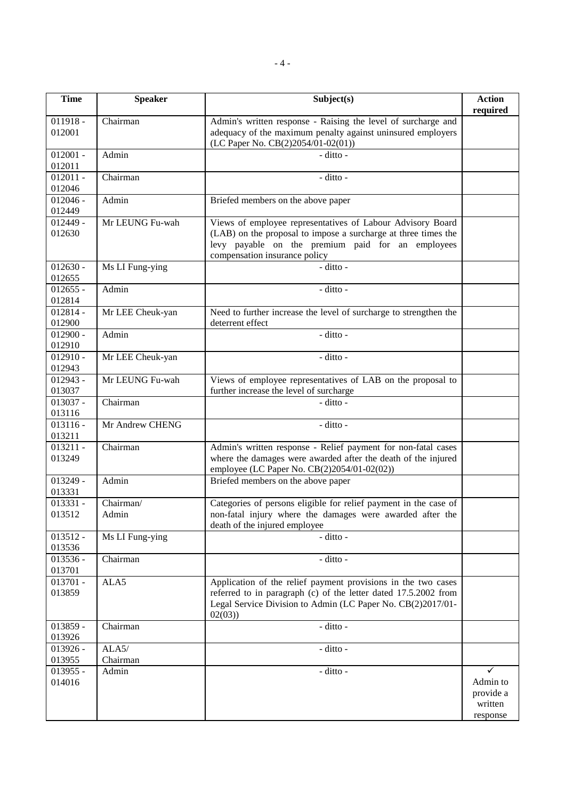| <b>Time</b>          | <b>Speaker</b>     | Subject(s)                                                                                                                                                                                                         | <b>Action</b><br>required                         |
|----------------------|--------------------|--------------------------------------------------------------------------------------------------------------------------------------------------------------------------------------------------------------------|---------------------------------------------------|
| $011918 -$<br>012001 | Chairman           | Admin's written response - Raising the level of surcharge and<br>adequacy of the maximum penalty against uninsured employers<br>(LC Paper No. CB(2)2054/01-02(01))                                                 |                                                   |
| $012001 -$<br>012011 | Admin              | $-$ ditto $-$                                                                                                                                                                                                      |                                                   |
| $012011 -$<br>012046 | Chairman           | - ditto -                                                                                                                                                                                                          |                                                   |
| $012046 -$<br>012449 | Admin              | Briefed members on the above paper                                                                                                                                                                                 |                                                   |
| $012449 -$<br>012630 | Mr LEUNG Fu-wah    | Views of employee representatives of Labour Advisory Board<br>(LAB) on the proposal to impose a surcharge at three times the<br>levy payable on the premium paid for an employees<br>compensation insurance policy |                                                   |
| $012630 -$<br>012655 | Ms LI Fung-ying    | - ditto -                                                                                                                                                                                                          |                                                   |
| $012655 -$<br>012814 | Admin              | - ditto -                                                                                                                                                                                                          |                                                   |
| $012814 -$<br>012900 | Mr LEE Cheuk-yan   | Need to further increase the level of surcharge to strengthen the<br>deterrent effect                                                                                                                              |                                                   |
| $012900 -$<br>012910 | Admin              | - ditto -                                                                                                                                                                                                          |                                                   |
| $012910 -$<br>012943 | Mr LEE Cheuk-yan   | - ditto -                                                                                                                                                                                                          |                                                   |
| $012943 -$<br>013037 | Mr LEUNG Fu-wah    | Views of employee representatives of LAB on the proposal to<br>further increase the level of surcharge                                                                                                             |                                                   |
| $013037 -$<br>013116 | Chairman           | - ditto -                                                                                                                                                                                                          |                                                   |
| $013116 -$<br>013211 | Mr Andrew CHENG    | - ditto -                                                                                                                                                                                                          |                                                   |
| $013211 -$<br>013249 | Chairman           | Admin's written response - Relief payment for non-fatal cases<br>where the damages were awarded after the death of the injured<br>employee (LC Paper No. CB(2)2054/01-02(02))                                      |                                                   |
| $013249 -$<br>013331 | Admin              | Briefed members on the above paper                                                                                                                                                                                 |                                                   |
| 013331 -<br>013512   | Chairman/<br>Admin | Categories of persons eligible for relief payment in the case of<br>non-fatal injury where the damages were awarded after the<br>death of the injured employee                                                     |                                                   |
| $013512 -$<br>013536 | Ms LI Fung-ying    | - ditto -                                                                                                                                                                                                          |                                                   |
| $013536 -$<br>013701 | Chairman           | - ditto -                                                                                                                                                                                                          |                                                   |
| $013701 -$<br>013859 | ALA5               | Application of the relief payment provisions in the two cases<br>referred to in paragraph (c) of the letter dated 17.5.2002 from<br>Legal Service Division to Admin (LC Paper No. CB(2)2017/01-<br>02(03)          |                                                   |
| 013859 -<br>013926   | Chairman           | - ditto -                                                                                                                                                                                                          |                                                   |
| $013926 -$<br>013955 | ALA5/<br>Chairman  | - ditto -                                                                                                                                                                                                          |                                                   |
| $013955 -$<br>014016 | Admin              | - ditto -                                                                                                                                                                                                          | ✓<br>Admin to<br>provide a<br>written<br>response |